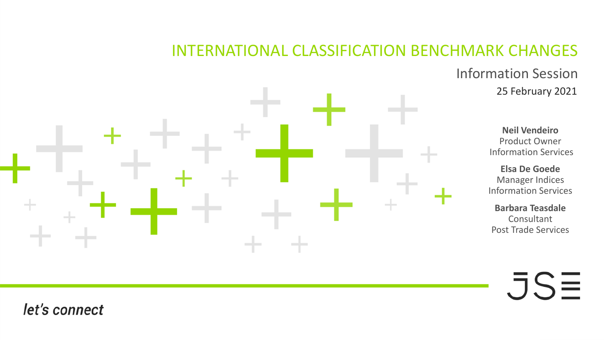### INTERNATIONAL CLASSIFICATION BENCHMARK CHANGES

Information Session 25 February 2021

**Neil Vendeiro** Product Owner Information Services

**Elsa De Goede** Manager Indices Information Services

**Barbara Teasdale** Consultant Post Trade Services

 $\overline{\mathsf{J}}\mathsf{S}\overline{\equiv}$ 

#### let's connect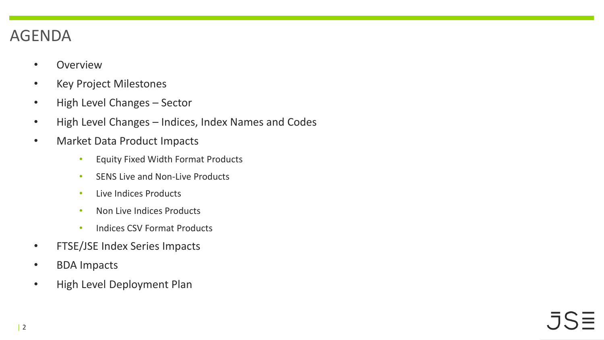## AGENDA

- Overview
- Key Project Milestones
- High Level Changes Sector
- High Level Changes Indices, Index Names and Codes
- Market Data Product Impacts
	- Equity Fixed Width Format Products
	- SENS Live and Non-Live Products
	- Live Indices Products
	- Non Live Indices Products
	- Indices CSV Format Products
- FTSE/JSE Index Series Impacts
- BDA Impacts
- High Level Deployment Plan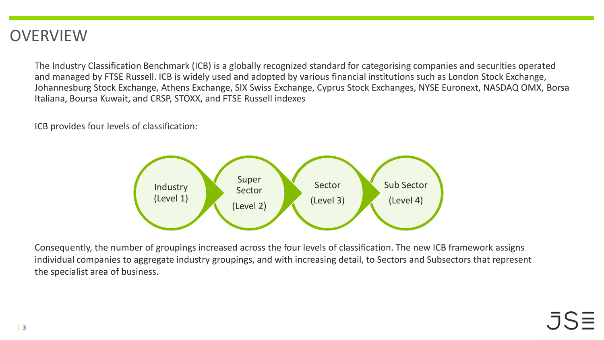#### **OVERVIEW**

The Industry Classification Benchmark (ICB) is a globally recognized standard for categorising companies and securities operated and managed by FTSE Russell. ICB is widely used and adopted by various financial institutions such as London Stock Exchange, Johannesburg Stock Exchange, Athens Exchange, SIX Swiss Exchange, Cyprus Stock Exchanges, NYSE Euronext, NASDAQ OMX, Borsa Italiana, Boursa Kuwait, and CRSP, STOXX, and FTSE Russell indexes

ICB provides four levels of classification:



Consequently, the number of groupings increased across the four levels of classification. The new ICB framework assigns individual companies to aggregate industry groupings, and with increasing detail, to Sectors and Subsectors that represent the specialist area of business.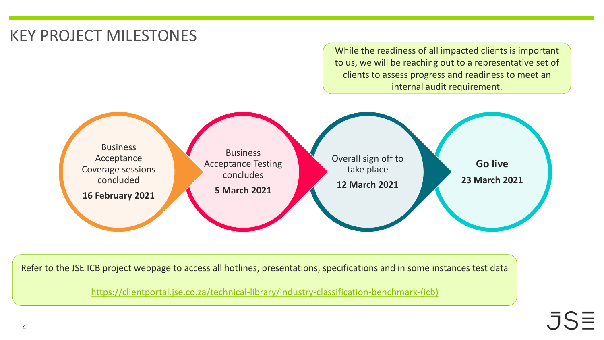# KEY PROJECT MILESTONES

While the readiness of all impacted clients is important to us, we will be reaching out to a representative set of clients to assess progress and readiness to meet an internal audit requirement.



Refer to the JSE ICB project webpage to access all hotlines, presentations, specifications and in some instances test data

[https://clientportal.jse.co.za/technical-library/industry-classification-benchmark-\(icb\)](https://clientportal.jse.co.za/technical-library/industry-classification-benchmark-(icb))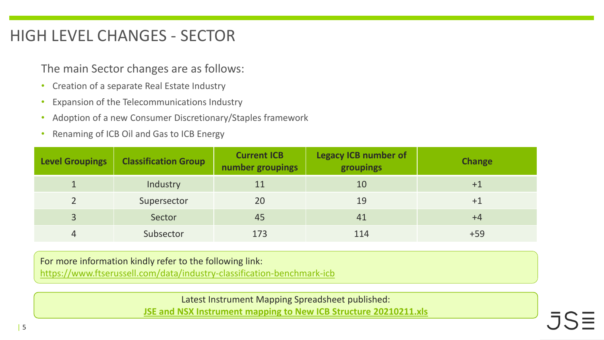## HIGH LEVEL CHANGES - SECTOR

The main Sector changes are as follows:

- Creation of a separate Real Estate Industry
- Expansion of the Telecommunications Industry
- Adoption of a new Consumer Discretionary/Staples framework
- Renaming of ICB Oil and Gas to ICB Energy

| <b>Level Groupings</b> | <b>Classification Group</b> | <b>Current ICB</b><br>number groupings | <b>Legacy ICB number of</b><br>groupings | <b>Change</b> |  |
|------------------------|-----------------------------|----------------------------------------|------------------------------------------|---------------|--|
|                        | Industry                    |                                        | 10                                       | $+1$          |  |
|                        | Supersector                 | 20                                     | 19                                       |               |  |
| $\overline{3}$         | Sector                      | 45                                     | 41                                       | $+4$          |  |
| 4                      | Subsector                   | 173                                    | 114                                      | $+59$         |  |

For more information kindly refer to the following link:

[https://www.ftserussell.com/data/industry-classification-benchmark-icb](ps://www.ftserussell.com/data/industry-classification-benchmark-icb)

Latest Instrument Mapping Spreadsheet published:

**[JSE and NSX Instrument mapping to New ICB Structure 20210211.xls](https://clientportal.jse.co.za/Content/ICBServicesDocumentation/JSE%20and%20NSX%20Instrument%20mapping%20to%20New%20ICB%20Structure%2020210211.xls)**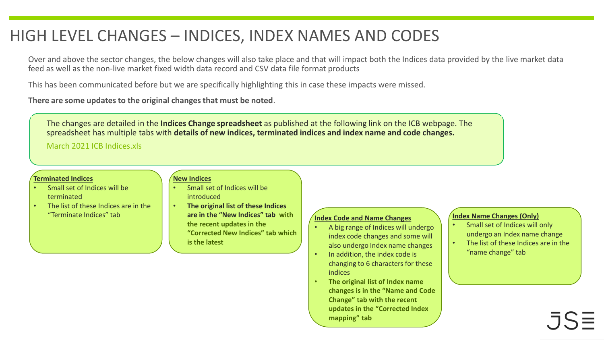## HIGH LEVEL CHANGES – INDICES, INDEX NAMES AND CODES

Over and above the sector changes, the below changes will also take place and that will impact both the Indices data provided by the live market data feed as well as the non-live market fixed width data record and CSV data file format products

This has been communicated before but we are specifically highlighting this in case these impacts were missed.

**There are some updates to the original changes that must be noted**.

The changes are detailed in the **Indices Change spreadsheet** as published at the following link on the ICB webpage. The spreadsheet has multiple tabs with **details of new indices, terminated indices and index name and code changes.**

[March 2021 ICB Indices.xls](https://clientportal.jse.co.za/Content/ICBServicesDocumentation/March%202021%20ICB%20Indices.xls)

#### **Terminated Indices**

- Small set of Indices will be terminated
- The list of these Indices are in the

#### **New Indices**

- Small set of Indices will be introduced
- "Terminate Indices" tab **Independent Code 1.1 Search 1.1 August 2.1 Search 2.1 August 2.1 Search 2.1 Search 2.1 Search 2.1 Search 2.1 Search 2.1 Search 2.1 Search 2.1 Search 2.1 Search 2.1 Search 2.1 Search 2.1 Search 2.1** • **The original list of these Indices are in the "New Indices" tab with the recent updates in the "Corrected New Indices" tab which is the latest**

- A big range of Indices will undergo index code changes and some will also undergo Index name changes
- In addition, the index code is changing to 6 characters for these indices
- **The original list of Index name changes is in the "Name and Code Change" tab with the recent updates in the "Corrected Index mapping" tab**

#### **Index Name Changes (Only)**

- Small set of Indices will only undergo an Index name change
- The list of these Indices are in the "name change" tab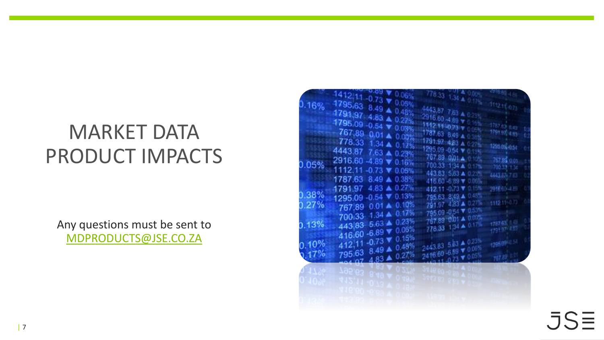# MARKET DATA PRODUCT IMPACTS

Any questions must be sent to [MDPRODUCTS@JSE.CO.ZA](mailto:mdproducts@jse.co.za)



 $.5S\equiv$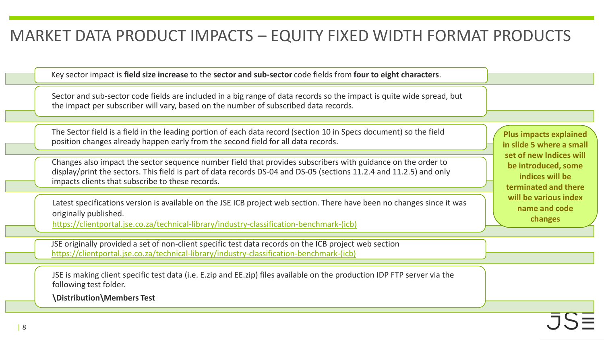### MARKET DATA PRODUCT IMPACTS – EQUITY FIXED WIDTH FORMAT PRODUCTS

Key sector impact is **field size increase** to the **sector and sub-sector** code fields from **four to eight characters**.

Sector and sub-sector code fields are included in a big range of data records so the impact is quite wide spread, but the impact per subscriber will vary, based on the number of subscribed data records.

The Sector field is a field in the leading portion of each data record (section 10 in Specs document) so the field position changes already happen early from the second field for all data records.

Changes also impact the sector sequence number field that provides subscribers with guidance on the order to display/print the sectors. This field is part of data records DS-04 and DS-05 (sections 11.2.4 and 11.2.5) and only impacts clients that subscribe to these records.

Latest specifications version is available on the JSE ICB project web section. There have been no changes since it was originally published.

[https://clientportal.jse.co.za/technical-library/industry-classification-benchmark-\(icb\)](https://clientportal.jse.co.za/technical-library/industry-classification-benchmark-(icb))

JSE originally provided a set of non-client specific test data records on the ICB project web section [https://clientportal.jse.co.za/technical-library/industry-classification-benchmark-\(icb\)](https://clientportal.jse.co.za/technical-library/industry-classification-benchmark-(icb))

JSE is making client specific test data (i.e. E.zip and EE.zip) files available on the production IDP FTP server via the following test folder.

**\Distribution\Members Test**

**Plus impacts explained in slide 5 where a small set of new Indices will be introduced, some indices will be terminated and there will be various index name and code changes**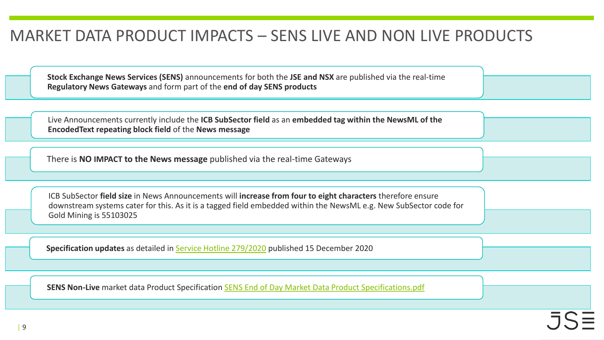### MARKET DATA PRODUCT IMPACTS – SENS LIVE AND NON LIVE PRODUCTS

**Stock Exchange News Services (SENS)** announcements for both the **JSE and NSX** are published via the real-time **Regulatory News Gateways** and form part of the **end of day SENS products** 

Live Announcements currently include the **ICB SubSector field** as an **embedded tag within the NewsML of the EncodedText repeating block field** of the **News message**

There is **NO IMPACT to the News message** published via the real-time Gateways

ICB SubSector **field size** in News Announcements will **increase from four to eight characters** therefore ensure downstream systems cater for this. As it is a tagged field embedded within the NewsML e.g. New SubSector code for Gold Mining is 55103025

**Specification updates** as detailed in [Service Hotline 279/2020](https://clientportal.jse.co.za/Content/JSEHotlinesItems/JSE%20Service%20Hotline%2027920%20Market%20Data%20-%20FTSE%20Russell%20ICB%20Changes%20%E2%80%93%20Availability%20of%20Updated%20SENS%20Specifications.pdf) published 15 December 2020

**SENS Non-Live** market data Product Specification [SENS End of Day Market Data Product Specifications.pdf](https://clientportal.jse.co.za/Content/JSE%20User%20Manual%20Items/SENS%20End%20of%20Day%20Market%20Data%20Product%20Specifications.pdf)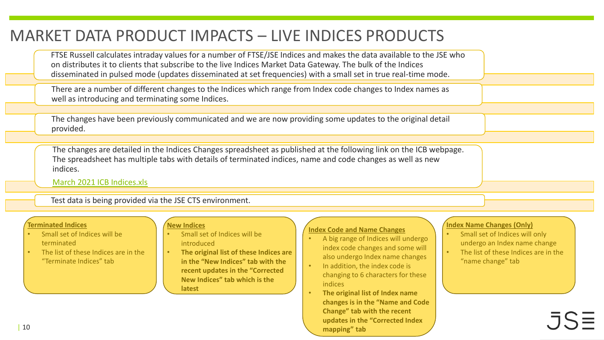## MARKET DATA PRODUCT IMPACTS – LIVE INDICES PRODUCTS

FTSE Russell calculates intraday values for a number of FTSE/JSE Indices and makes the data available to the JSE who on distributes it to clients that subscribe to the live Indices Market Data Gateway. The bulk of the Indices disseminated in pulsed mode (updates disseminated at set frequencies) with a small set in true real-time mode.

There are a number of different changes to the Indices which range from Index code changes to Index names as well as introducing and terminating some Indices.

The changes have been previously communicated and we are now providing some updates to the original detail provided.

The changes are detailed in the Indices Changes spreadsheet as published at the following link on the ICB webpage. The spreadsheet has multiple tabs with details of terminated indices, name and code changes as well as new indices.

[March 2021 ICB Indices.xls](https://clientportal.jse.co.za/Content/ICBServicesDocumentation/March%202021%20ICB%20Indices.xls)

Test data is being provided via the JSE CTS environment.

#### **Terminated Indices**

- Small set of Indices will be terminated
- The list of these Indices are in the "Terminate Indices" tab

#### **New Indices**

- Small set of Indices will be introduced
- **The original list of these Indices are in the "New Indices" tab with the recent updates in the "Corrected New Indices" tab which is the latest**

#### **Index Code and Name Changes**

- A big range of Indices will undergo index code changes and some will also undergo Index name changes
- In addition, the index code is changing to 6 characters for these indices
- **The original list of Index name changes is in the "Name and Code Change" tab with the recent updates in the "Corrected Index mapping" tab**

#### **Index Name Changes (Only)**

- Small set of Indices will only undergo an Index name change
- The list of these Indices are in the "name change" tab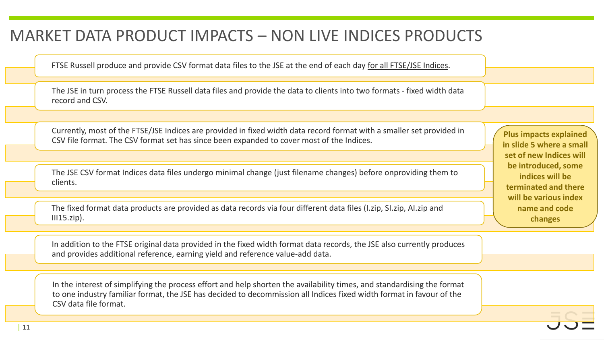### MARKET DATA PRODUCT IMPACTS – NON LIVE INDICES PRODUCTS

FTSE Russell produce and provide CSV format data files to the JSE at the end of each day for all FTSE/JSE Indices.

The JSE in turn process the FTSE Russell data files and provide the data to clients into two formats - fixed width data record and CSV.

Currently, most of the FTSE/JSE Indices are provided in fixed width data record format with a smaller set provided in CSV file format. The CSV format set has since been expanded to cover most of the Indices.

The JSE CSV format Indices data files undergo minimal change (just filename changes) before onproviding them to clients.

The fixed format data products are provided as data records via four different data files (I.zip, SI.zip, AI.zip and  $III15.zip$ ).

In addition to the FTSE original data provided in the fixed width format data records, the JSE also currently produces and provides additional reference, earning yield and reference value-add data.

In the interest of simplifying the process effort and help shorten the availability times, and standardising the format to one industry familiar format, the JSE has decided to decommission all Indices fixed width format in favour of the CSV data file format.

**Plus impacts explained in slide 5 where a small set of new Indices will be introduced, some indices will be terminated and there will be various index name and code changes**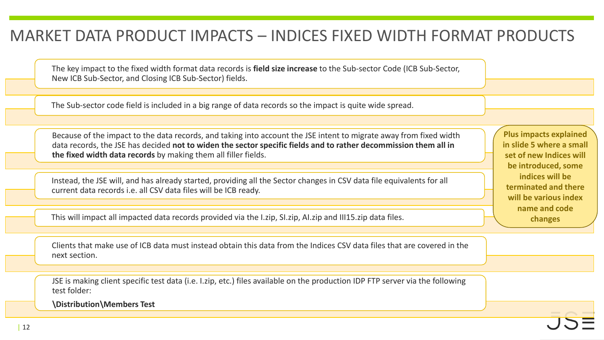### MARKET DATA PRODUCT IMPACTS – INDICES FIXED WIDTH FORMAT PRODUCTS

The key impact to the fixed width format data records is **field size increase** to the Sub-sector Code (ICB Sub-Sector, New ICB Sub-Sector, and Closing ICB Sub-Sector) fields.

The Sub-sector code field is included in a big range of data records so the impact is quite wide spread.

Because of the impact to the data records, and taking into account the JSE intent to migrate away from fixed width data records, the JSE has decided **not to widen the sector specific fields and to rather decommission them all in the fixed width data records** by making them all filler fields.

Instead, the JSE will, and has already started, providing all the Sector changes in CSV data file equivalents for all current data records i.e. all CSV data files will be ICB ready.

This will impact all impacted data records provided via the I.zip, SI.zip, AI.zip and III15.zip data files.

Clients that make use of ICB data must instead obtain this data from the Indices CSV data files that are covered in the next section.

JSE is making client specific test data (i.e. I.zip, etc.) files available on the production IDP FTP server via the following test folder:

**\Distribution\Members Test**

**Plus impacts explained in slide 5 where a small set of new Indices will be introduced, some indices will be terminated and there will be various index name and code changes**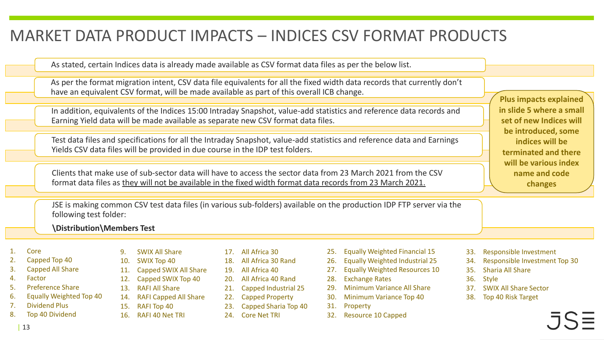#### MARKET DATA PRODUCT IMPACTS – INDICES CSV FORMAT PRODUCTS

As stated, certain Indices data is already made available as CSV format data files as per the below list.

As per the format migration intent, CSV data file equivalents for all the fixed width data records that currently don't have an equivalent CSV format, will be made available as part of this overall ICB change.

In addition, equivalents of the Indices 15:00 Intraday Snapshot, value-add statistics and reference data records and Earning Yield data will be made available as separate new CSV format data files.

Test data files and specifications for all the Intraday Snapshot, value-add statistics and reference data and Earnings Yields CSV data files will be provided in due course in the IDP test folders.

Clients that make use of sub-sector data will have to access the sector data from 23 March 2021 from the CSV format data files as they will not be available in the fixed width format data records from 23 March 2021.

**Plus impacts explained in slide 5 where a small set of new Indices will be introduced, some indices will be terminated and there will be various index name and code changes**

JSE is making common CSV test data files (in various sub-folders) available on the production IDP FTP server via the following test folder:

#### **\Distribution\Members Test**

#### 1. Core

- 2. Capped Top 40
- 3. Capped All Share
- 4. Factor
- 5. Preference Share
- 6. Equally Weighted Top 40
- 7. Dividend Plus
- Top 40 Dividend
- 9. SWIX All Share 10. SWIX Top 40
- 11. Capped SWIX All Share
- 12. Capped SWIX Top 40 13. RAFI All Share
- 14. RAFI Capped All Share
- 15. RAFI Top 40
- 16. RAFI 40 Net TRI
- 17. All Africa 30
- 18. All Africa 30 Rand
- 19. All Africa 40
- 20. All Africa 40 Rand
- 21. Capped Industrial 25
- 22. Capped Property
- 23. Capped Sharia Top 40
- 24. Core Net TRI
- 25. Equally Weighted Financial 15
- 26. Equally Weighted Industrial 25
- 27. Equally Weighted Resources 10
- 28. Exchange Rates
- 29. Minimum Variance All Share
- 30. Minimum Variance Top 40
- 31. Property
- 32. Resource 10 Capped
- 33. Responsible Investment
- 34. Responsible Investment Top 30
- 35. Sharia All Share
- 36. Style
- 37. SWIX All Share Sector
- 38. Top 40 Risk Target
-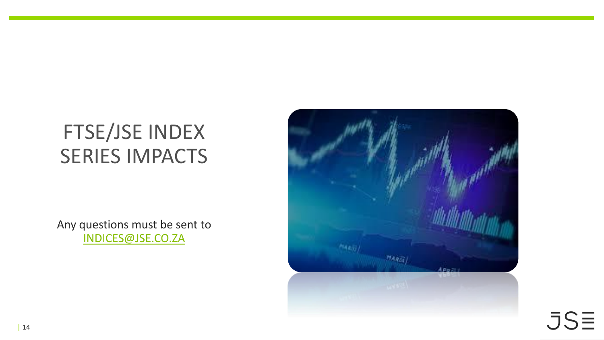Any questions must be sent to [INDICES@JSE.CO.ZA](mailto:indices@jse.co.za)



 $JSE$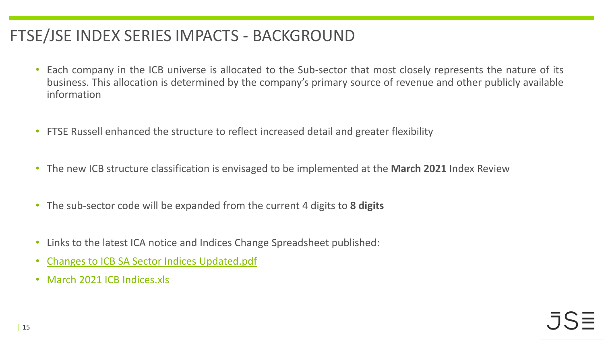# FTSE/JSE INDEX SERIES IMPACTS - BACKGROUND

- Each company in the ICB universe is allocated to the Sub-sector that most closely represents the nature of its business. This allocation is determined by the company's primary source of revenue and other publicly available information
- FTSE Russell enhanced the structure to reflect increased detail and greater flexibility
- The new ICB structure classification is envisaged to be implemented at the **March 2021** Index Review
- The sub-sector code will be expanded from the current 4 digits to **8 digits**
- Links to the latest ICA notice and Indices Change Spreadsheet published:
- Changes to ICB SA Sector Indices [Updated.pdf](https://clientportal.jse.co.za/Content/ICANoticeItems/FTSE-JSE-Africa/20210219%20Follow%20Up%20Market%20Note_Changes%20to%20ICB%20%20SA%20Sector%20Indices%20Updated.pdf)
- March 2021 ICB [Indices.xls](https://clientportal.jse.co.za/Content/ICBServicesDocumentation/March%202021%20ICB%20Indices.xls)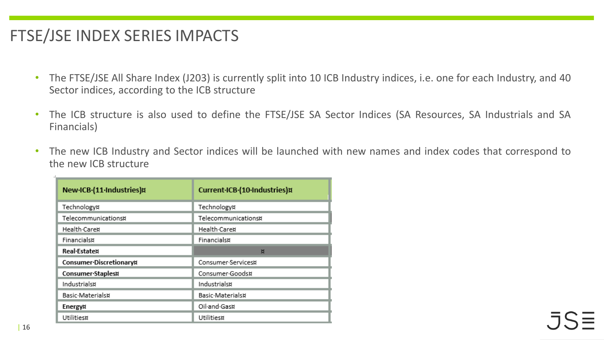- The FTSE/JSE All Share Index (J203) is currently split into 10 ICB Industry indices, i.e. one for each Industry, and 40 Sector indices, according to the ICB structure
- The ICB structure is also used to define the FTSE/JSE SA Sector Indices (SA Resources, SA Industrials and SA Financials)
- The new ICB Industry and Sector indices will be launched with new names and index codes that correspond to the new ICB structure

| New ICB (11 Industries)¤ | Current-ICB-(10-Industries)¤ |  |  |  |  |
|--------------------------|------------------------------|--|--|--|--|
| Technology¤              | Technology¤                  |  |  |  |  |
| Telecommunications¤      | Telecommunications¤          |  |  |  |  |
| Health-Care¤             | Health-Care¤                 |  |  |  |  |
| Financials¤              | Financials¤                  |  |  |  |  |
| <b>Real</b> Estate¤      | 页                            |  |  |  |  |
| Consumer-Discretionary¤  | Consumer-Services¤           |  |  |  |  |
| Consumer-Staples¤        | Consumer-Goods¤              |  |  |  |  |
| Industrials¤             | Industrials¤                 |  |  |  |  |
| Basic-Materials¤         | Basic-Materials¤             |  |  |  |  |
| Energy¤                  | Oil-and-Gas¤                 |  |  |  |  |
| Utilities¤               | Utilities¤                   |  |  |  |  |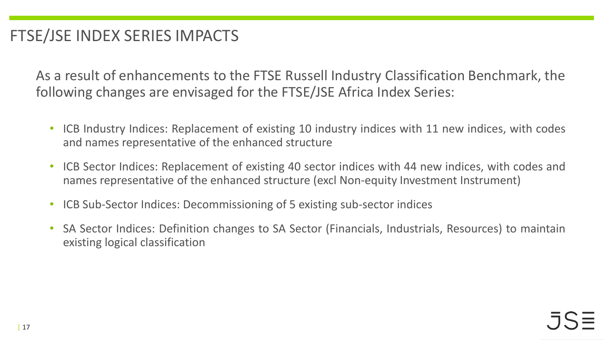As a result of enhancements to the FTSE Russell Industry Classification Benchmark, the following changes are envisaged for the FTSE/JSE Africa Index Series:

- ICB Industry Indices: Replacement of existing 10 industry indices with 11 new indices, with codes and names representative of the enhanced structure
- ICB Sector Indices: Replacement of existing 40 sector indices with 44 new indices, with codes and names representative of the enhanced structure (excl Non-equity Investment Instrument)
- ICB Sub-Sector Indices: Decommissioning of 5 existing sub-sector indices
- SA Sector Indices: Definition changes to SA Sector (Financials, Industrials, Resources) to maintain existing logical classification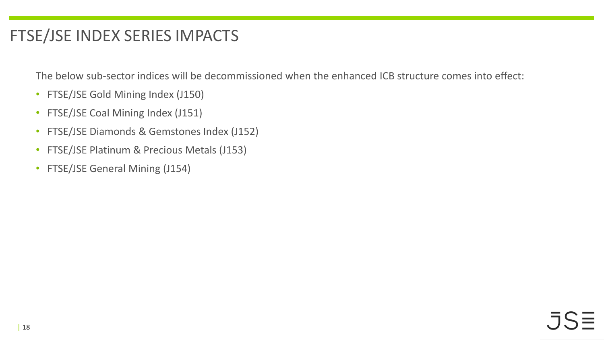The below sub-sector indices will be decommissioned when the enhanced ICB structure comes into effect:

- FTSE/JSE Gold Mining Index (J150)
- FTSE/JSE Coal Mining Index (J151)
- FTSE/JSE Diamonds & Gemstones Index (J152)
- FTSE/JSE Platinum & Precious Metals (J153)
- FTSE/JSE General Mining (J154)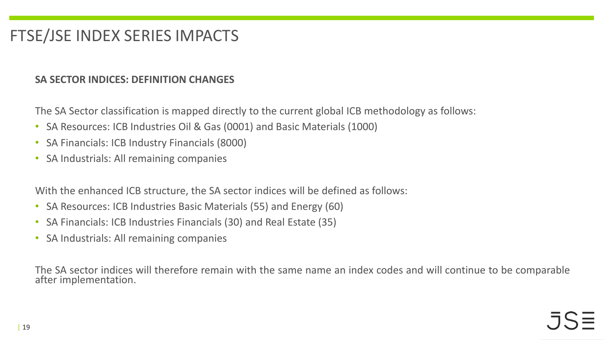#### **SA SECTOR INDICES: DEFINITION CHANGES**

The SA Sector classification is mapped directly to the current global ICB methodology as follows:

- SA Resources: ICB Industries Oil & Gas (0001) and Basic Materials (1000)
- SA Financials: ICB Industry Financials (8000)
- SA Industrials: All remaining companies

With the enhanced ICB structure, the SA sector indices will be defined as follows:

- SA Resources: ICB Industries Basic Materials (55) and Energy (60)
- SA Financials: ICB Industries Financials (30) and Real Estate (35)
- SA Industrials: All remaining companies

The SA sector indices will therefore remain with the same name an index codes and will continue to be comparable after implementation.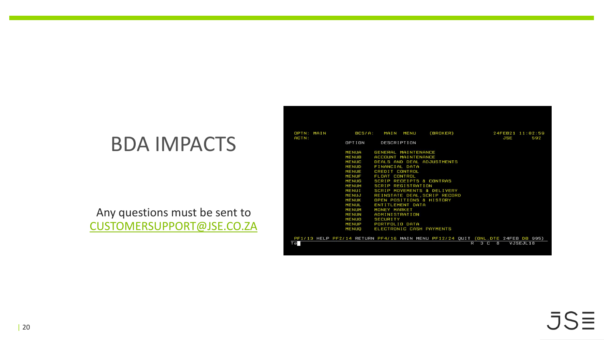#### Any questions must be sent to [CUSTOMERSUPPORT@JSE.CO.ZA](mailto:customersupport@JSE.co.za)

| OPTN: MAIN<br>ACTN: | BCS/A:                                                                                                                                                                                                                                                         | (BROKER)<br>MAIN<br>MENU                                                                                                                                                                                                                                                                                                                                                                         | 24FEB21 11:02:59<br>JSE<br>592 |
|---------------------|----------------------------------------------------------------------------------------------------------------------------------------------------------------------------------------------------------------------------------------------------------------|--------------------------------------------------------------------------------------------------------------------------------------------------------------------------------------------------------------------------------------------------------------------------------------------------------------------------------------------------------------------------------------------------|--------------------------------|
|                     | OPTION                                                                                                                                                                                                                                                         | DESCRIPTION                                                                                                                                                                                                                                                                                                                                                                                      |                                |
|                     | <b>MENUA</b><br><b>MENUB</b><br><b>MENUC</b><br><b>MENUD</b><br><b>MENUE</b><br><b>MENUF</b><br><b>MENUG</b><br><b>MENUH</b><br><b>MENUI</b><br>MENUJ<br><b>MENUK</b><br><b>MENUL</b><br><b>MENUM</b><br><b>MENUN</b><br><b>MENUO</b><br><b>MENUP</b><br>MENUQ | GENERAL MAINTENANCE<br>ACCOUNT MAINTENANCE<br>DEALS AND DEAL ADJUSTMENTS<br>FINANCIAL DATA<br>CREDIT CONTROL<br>FLOAT CONTROL<br>SCRIP RECEIPTS & CONTRAS<br>SCRIP REGISTRATION<br>SCRIP MOVEMENTS & DELIVERY<br>REINSTATE DEAL, SCRIP RECORD<br>OPEN POSITIONS & HISTORY<br>ENTITLEMENT DATA<br>MONEY MARKET<br>ADMINISTRATION<br><b>SECURITY</b><br>PORTFOLIO DATA<br>ELECTRONIC CASH PAYMENTS |                                |
|                     |                                                                                                                                                                                                                                                                | PF1/13 HELP PF2/14 RETURN PF4/16 MAIN MENU PF12/24 QUIT (ONL. DTE 24FEB DB 995)                                                                                                                                                                                                                                                                                                                  |                                |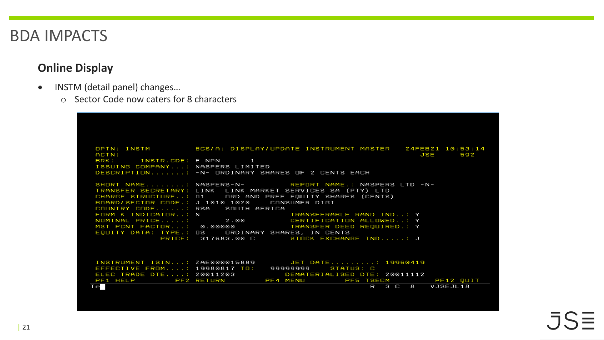#### **Online Display**

- INSTM (detail panel) changes...
	- o Sector Code now caters for 8 characters

| ACTN:                            | OPTN: INSTM 60 BCS/A: DISPLAY/UPDATE INSTRUMENT MASTER 24FEB21 10:53:14<br>JSE<br>592                                  |
|----------------------------------|------------------------------------------------------------------------------------------------------------------------|
| BRK: INSTR.CDE: E NPN 1          |                                                                                                                        |
| ISSUING COMPANY: NASPERS LIMITED | DESCRIPTION: -N- ORDINARY SHARES OF 2 CENTS EACH                                                                       |
|                                  |                                                                                                                        |
|                                  | SHORT NAME: NASPERS-N- REPORT NAME.: NASPERS LTD -N-<br>TRANSFER SECRETARY: LINK LINK MARKET SERVICES SA (PTY) LTD     |
|                                  | CHARGE STRUCTURE: 01 ORD AND PREF EQUITY SHARES (CENTS)                                                                |
|                                  | BOARD/SECTOR CODE.: J 1010 1020 CONSUMER DIGI                                                                          |
| COUNTRY CODE: RSA SOUTH AFRICA   |                                                                                                                        |
|                                  |                                                                                                                        |
|                                  | MST PCNT FACTOR: 0.00000 TRANSFER DEED REQUIRED.: Y<br>EQUITY DATA: TYPE.: OS ORDINARY SHARES, IN CENTS                |
|                                  | PRICE: 317683.00 C STOCK EXCHANGE IND: J                                                                               |
|                                  |                                                                                                                        |
|                                  |                                                                                                                        |
|                                  | INSTRUMENT ISIN: ZAE000015889 JET DATE: 19960419<br>EFFECTIVE FROM: 19980817 TO: 999999999 STATUS: C                   |
|                                  |                                                                                                                        |
|                                  | ELEC TRADE DTE: 20011203 DEMATERIALISED DTE: 20011112<br>PF1 HELP PF2 RETURN PF4 MENU PF5 TSECM<br>PF5 TSECM PF12 QUIT |
| Te                               | R 3 C 8 VJSEJL18                                                                                                       |
|                                  |                                                                                                                        |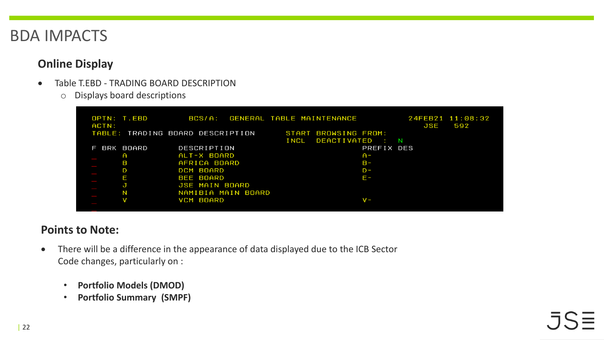#### **Online Display**

- Table T.EBD TRADING BOARD DESCRIPTION
	- o Displays board descriptions

|          | OPTN: T.EBD                      | BCS/A:             |             | GENERAL TABLE MAINTENANCE |                        |          |     | 24FEB21 11:08:32 |  |
|----------|----------------------------------|--------------------|-------------|---------------------------|------------------------|----------|-----|------------------|--|
| ACTN:    |                                  |                    |             |                           |                        |          | JSE | 592              |  |
|          | TABLE: TRADING BOARD DESCRIPTION |                    |             | START BROWSING FROM:      |                        |          |     |                  |  |
|          |                                  |                    | <b>INCL</b> | DEACTIVATED :             |                        | <b>N</b> |     |                  |  |
| BRK<br>F | BOARD                            | DESCRIPTION        |             |                           | PREFIX DES             |          |     |                  |  |
|          | A                                | ALT-X BOARD        |             |                           | $A -$                  |          |     |                  |  |
|          | в                                | AFRICA BOARD       |             |                           | $B -$                  |          |     |                  |  |
|          | D                                | DCM BOARD          |             |                           | $D -$                  |          |     |                  |  |
|          | Е                                | BEE BOARD          |             |                           | $F -$                  |          |     |                  |  |
|          | J                                | JSE MAIN BOARD     |             |                           |                        |          |     |                  |  |
|          | N                                | NAMIBIA MAIN BOARD |             |                           |                        |          |     |                  |  |
|          |                                  | VCM BOARD          |             |                           | $\mathsf{v}\mathsf{-}$ |          |     |                  |  |
|          |                                  |                    |             |                           |                        |          |     |                  |  |

#### **Points to Note:**

- There will be a difference in the appearance of data displayed due to the ICB Sector Code changes, particularly on :
	- **Portfolio Models (DMOD)**
	- **Portfolio Summary (SMPF)**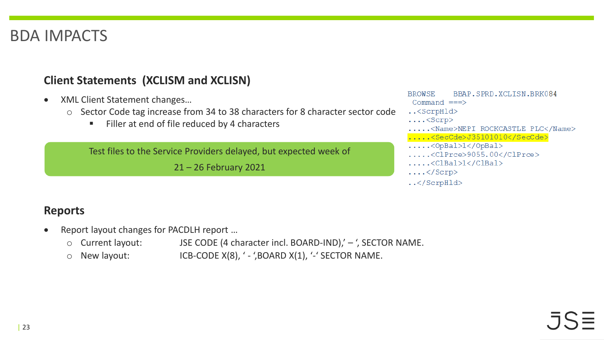#### **Client Statements (XCLISM and XCLISN)**

- XML Client Statement changes…
	- o Sector Code tag increase from 34 to 38 characters for 8 character sector code
		- Filler at end of file reduced by 4 characters

Test files to the Service Providers delayed, but expected week of

21 – 26 February 2021

#### BBAP.SPRD.XCLISN.BRK084 **BROWSE** Command  $==$ ..<ScrpHld>  $\ldots$ .<Scrp> ....<Name>NEPI ROCKCASTLE PLC</Name> .....<SecCde>J35101010</SecCde>  $\ldots$ .<OpBal>l</OpBal>  $\ldots$ .<ClPrce>9055.00</ClPrce>  $\ldots$ .<clBal>l</clBal>  $\ldots$  </Scrp>

..</ScrpHld>

#### **Reports**

- Report layout changes for PACDLH report ...
	- o Current layout: JSE CODE (4 character incl. BOARD-IND),' ', SECTOR NAME.
	- $\circ$  New layout: ICB-CODE X(8), ' ', BOARD X(1), ' -' SECTOR NAME.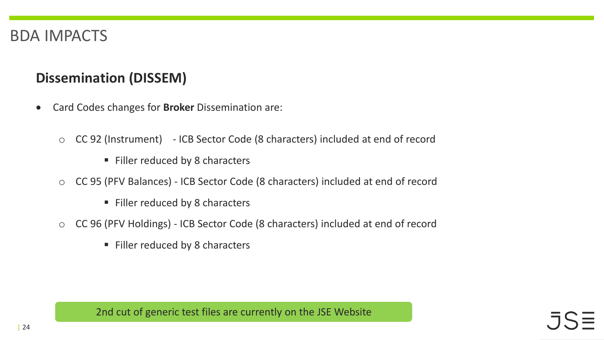#### **Dissemination (DISSEM)**

- Card Codes changes for **Broker** Dissemination are:
	- o CC 92 (Instrument) ICB Sector Code (8 characters) included at end of record
		- Filler reduced by 8 characters
	- o CC 95 (PFV Balances) ICB Sector Code (8 characters) included at end of record
		- Filler reduced by 8 characters
	- o CC 96 (PFV Holdings) ICB Sector Code (8 characters) included at end of record
		- Filler reduced by 8 characters

2nd cut of generic test files are currently on the JSE Website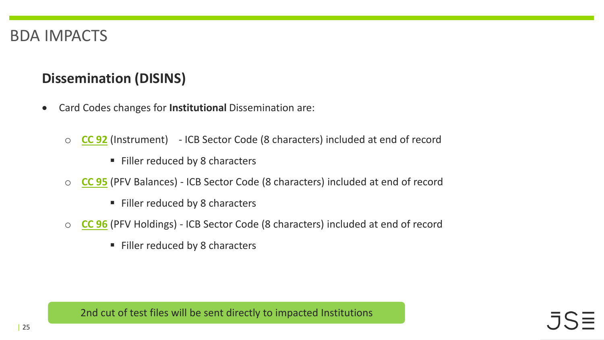#### **Dissemination (DISINS)**

- Card Codes changes for **Institutional** Dissemination are:
	- o **[CC 92](https://clientportal.jse.co.za/Content/ICBServicesDocumentation/JSE_CC92.txt)** (Instrument) ICB Sector Code (8 characters) included at end of record
		- Filler reduced by 8 characters
	- o **[CC 95](https://clientportal.jse.co.za/Content/ICBServicesDocumentation/JSE_CC95.txt)** (PFV Balances) ICB Sector Code (8 characters) included at end of record
		- Filler reduced by 8 characters
	- o **[CC 96](https://clientportal.jse.co.za/Content/ICBServicesDocumentation/JSE_CC96.txt)** (PFV Holdings) ICB Sector Code (8 characters) included at end of record
		- Filler reduced by 8 characters

2nd cut of test files will be sent directly to impacted Institutions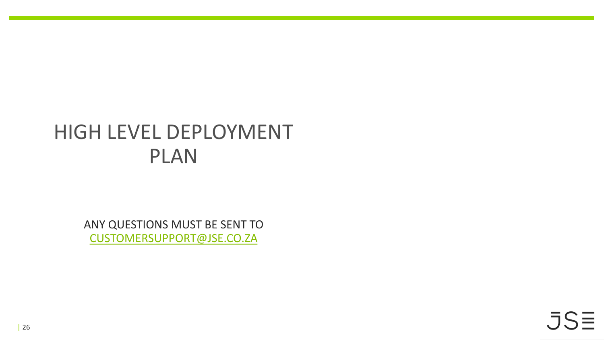# HIGH LEVEL DEPLOYMENT PLAN

ANY QUESTIONS MUST BE SENT TO [CUSTOMERSUPPORT@JSE.CO.ZA](mailto:customersupport@JSE.co.za)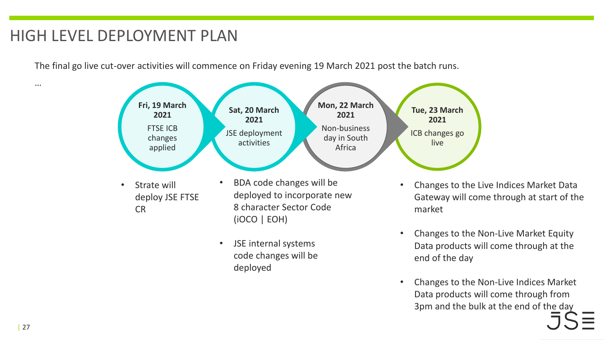### HIGH LEVEL DEPLOYMENT PLAN

The final go live cut-over activities will commence on Friday evening 19 March 2021 post the batch runs.



• JSE internal systems code changes will be deployed

- Changes to the Live Indices Market Data Gateway will come through at start of the
- Changes to the Non-Live Market Equity Data products will come through at the end of the day
- Changes to the Non-Live Indices Market Data products will come through from 3pm and the bulk at the end of the day

…